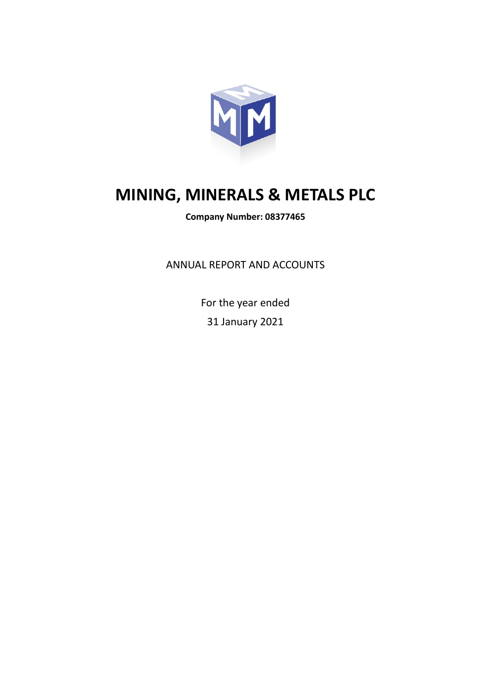

# **MINING, MINERALS & METALS PLC**

**Company Number: 08377465**

ANNUAL REPORT AND ACCOUNTS

For the year ended 31 January 2021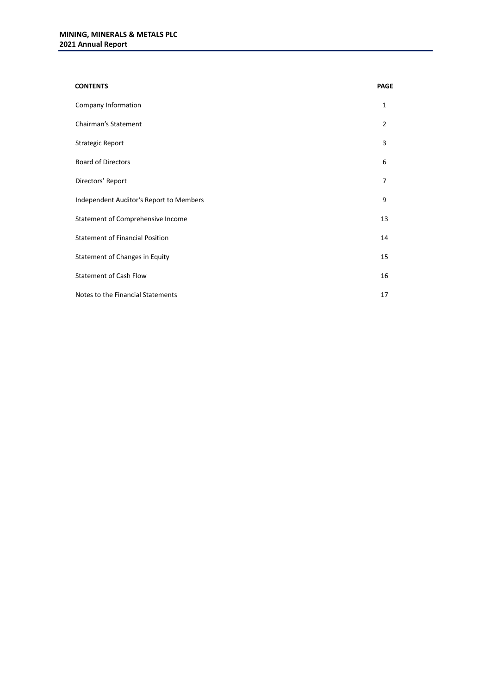| <b>CONTENTS</b>                         | <b>PAGE</b>    |
|-----------------------------------------|----------------|
| Company Information                     | 1              |
| <b>Chairman's Statement</b>             | $\overline{2}$ |
| <b>Strategic Report</b>                 | 3              |
| <b>Board of Directors</b>               | 6              |
| Directors' Report                       | 7              |
| Independent Auditor's Report to Members | 9              |
| Statement of Comprehensive Income       | 13             |
| <b>Statement of Financial Position</b>  | 14             |
| Statement of Changes in Equity          | 15             |
| <b>Statement of Cash Flow</b>           | 16             |
| Notes to the Financial Statements       | 17             |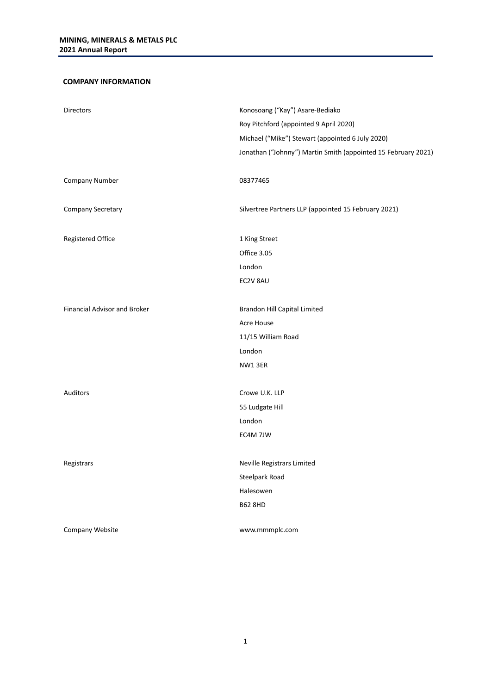# **COMPANY INFORMATION**

| <b>Directors</b>             | Konosoang ("Kay") Asare-Bediako<br>Roy Pitchford (appointed 9 April 2020)<br>Michael ("Mike") Stewart (appointed 6 July 2020)<br>Jonathan ("Johnny") Martin Smith (appointed 15 February 2021) |
|------------------------------|------------------------------------------------------------------------------------------------------------------------------------------------------------------------------------------------|
| Company Number               | 08377465                                                                                                                                                                                       |
| Company Secretary            | Silvertree Partners LLP (appointed 15 February 2021)                                                                                                                                           |
| Registered Office            | 1 King Street                                                                                                                                                                                  |
|                              | Office 3.05                                                                                                                                                                                    |
|                              | London                                                                                                                                                                                         |
|                              | EC2V 8AU                                                                                                                                                                                       |
|                              |                                                                                                                                                                                                |
| Financial Advisor and Broker | Brandon Hill Capital Limited                                                                                                                                                                   |
|                              | Acre House                                                                                                                                                                                     |
|                              | 11/15 William Road                                                                                                                                                                             |
|                              | London                                                                                                                                                                                         |
|                              | NW13ER                                                                                                                                                                                         |
|                              |                                                                                                                                                                                                |
| <b>Auditors</b>              | Crowe U.K. LLP                                                                                                                                                                                 |
|                              | 55 Ludgate Hill                                                                                                                                                                                |
|                              | London                                                                                                                                                                                         |
|                              | EC4M 7JW                                                                                                                                                                                       |
|                              |                                                                                                                                                                                                |
| Registrars                   | Neville Registrars Limited                                                                                                                                                                     |
|                              | Steelpark Road                                                                                                                                                                                 |
|                              | Halesowen                                                                                                                                                                                      |
|                              | <b>B62 8HD</b>                                                                                                                                                                                 |
| Company Website              | www.mmmplc.com                                                                                                                                                                                 |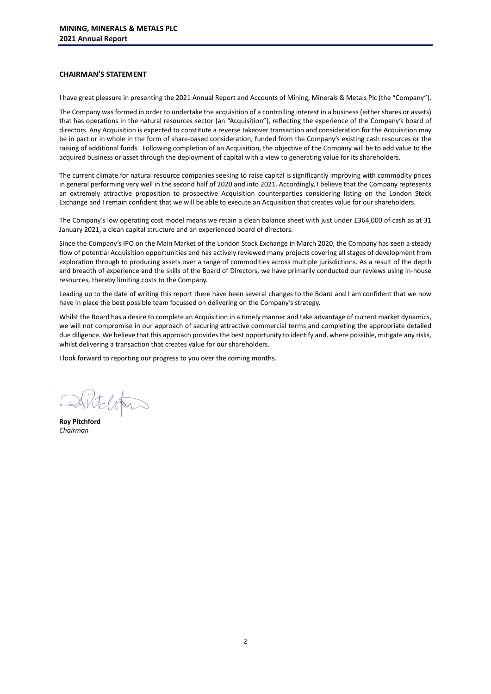# **CHAIRMAN'S STATEMENT**

I have great pleasure in presenting the 2021 Annual Report and Accounts of Mining, Minerals & Metals Plc (the "Company").

The Company was formed in order to undertake the acquisition of a controlling interest in a business (either shares or assets) that has operations in the natural resources sector (an "Acquisition"), reflecting the experience of the Company's board of directors. Any Acquisition is expected to constitute a reverse takeover transaction and consideration for the Acquisition may be in part or in whole in the form of share-based consideration, funded from the Company's existing cash resources or the raising of additional funds. Following completion of an Acquisition, the objective of the Company will be to add value to the acquired business or asset through the deployment of capital with a view to generating value for its shareholders.

The current climate for natural resource companies seeking to raise capital is significantly improving with commodity prices in general performing very well in the second half of 2020 and into 2021. Accordingly, I believe that the Company represents an extremely attractive proposition to prospective Acquisition counterparties considering listing on the London Stock Exchange and I remain confident that we will be able to execute an Acquisition that creates value for our shareholders.

The Company's low operating cost model means we retain a clean balance sheet with just under £364,000 of cash as at 31 January 2021, a clean capital structure and an experienced board of directors.

Since the Company's IPO on the Main Market of the London Stock Exchange in March 2020, the Company has seen a steady flow of potential Acquisition opportunities and has actively reviewed many projects covering all stages of development from exploration through to producing assets over a range of commodities across multiple jurisdictions. As a result of the depth and breadth of experience and the skills of the Board of Directors, we have primarily conducted our reviews using in-house resources, thereby limiting costs to the Company.

Leading up to the date of writing this report there have been several changes to the Board and I am confident that we now have in place the best possible team focussed on delivering on the Company's strategy.

Whilst the Board has a desire to complete an Acquisition in a timely manner and take advantage of current market dynamics, we will not compromise in our approach of securing attractive commercial terms and completing the appropriate detailed due diligence. We believe that this approach provides the best opportunity to identify and, where possible, mitigate any risks, whilst delivering a transaction that creates value for our shareholders.

I look forward to reporting our progress to you over the coming months.

Wilton

**Roy Pitchford** *Chairman*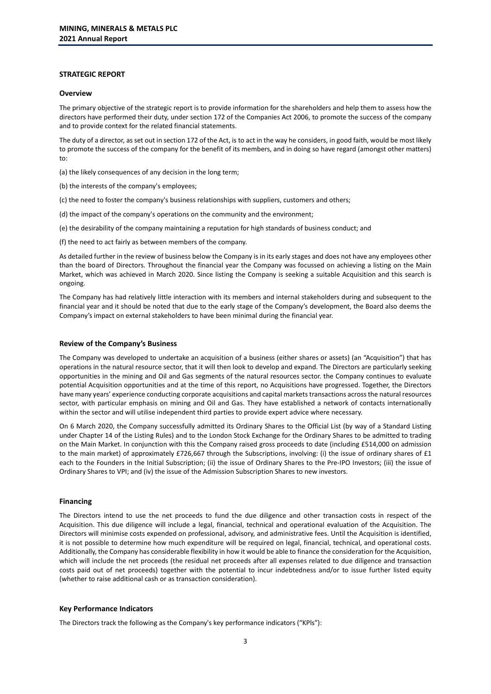# **STRATEGIC REPORT**

#### **Overview**

The primary objective of the strategic report is to provide information for the shareholders and help them to assess how the directors have performed their duty, under section 172 of the Companies Act 2006, to promote the success of the company and to provide context for the related financial statements.

The duty of a director, as set out in section 172 of the Act, is to act in the way he considers, in good faith, would be most likely to promote the success of the company for the benefit of its members, and in doing so have regard (amongst other matters) to:

(a) the likely consequences of any decision in the long term;

- (b) the interests of the company's employees;
- (c) the need to foster the company's business relationships with suppliers, customers and others;
- (d) the impact of the company's operations on the community and the environment;
- (e) the desirability of the company maintaining a reputation for high standards of business conduct; and

(f) the need to act fairly as between members of the company.

As detailed further in the review of business below the Company is in its early stages and does not have any employees other than the board of Directors. Throughout the financial year the Company was focussed on achieving a listing on the Main Market, which was achieved in March 2020. Since listing the Company is seeking a suitable Acquisition and this search is ongoing.

The Company has had relatively little interaction with its members and internal stakeholders during and subsequent to the financial year and it should be noted that due to the early stage of the Company's development, the Board also deems the Company's impact on external stakeholders to have been minimal during the financial year.

#### **Review of the Company's Business**

The Company was developed to undertake an acquisition of a business (either shares or assets) (an "Acquisition") that has operations in the natural resource sector, that it will then look to develop and expand. The Directors are particularly seeking opportunities in the mining and Oil and Gas segments of the natural resources sector. the Company continues to evaluate potential Acquisition opportunities and at the time of this report, no Acquisitions have progressed. Together, the Directors have many years' experience conducting corporate acquisitions and capital markets transactions across the natural resources sector, with particular emphasis on mining and Oil and Gas. They have established a network of contacts internationally within the sector and will utilise independent third parties to provide expert advice where necessary.

On 6 March 2020, the Company successfully admitted its Ordinary Shares to the Official List (by way of a Standard Listing under Chapter 14 of the Listing Rules) and to the London Stock Exchange for the Ordinary Shares to be admitted to trading on the Main Market. In conjunction with this the Company raised gross proceeds to date (including £514,000 on admission to the main market) of approximately £726,667 through the Subscriptions, involving: (i) the issue of ordinary shares of £1 each to the Founders in the Initial Subscription; (ii) the issue of Ordinary Shares to the Pre-IPO Investors; (iii) the issue of Ordinary Shares to VPI; and (iv) the issue of the Admission Subscription Shares to new investors.

#### **Financing**

The Directors intend to use the net proceeds to fund the due diligence and other transaction costs in respect of the Acquisition. This due diligence will include a legal, financial, technical and operational evaluation of the Acquisition. The Directors will minimise costs expended on professional, advisory, and administrative fees. Until the Acquisition is identified, it is not possible to determine how much expenditure will be required on legal, financial, technical, and operational costs. Additionally, the Company has considerable flexibility in how it would be able to finance the consideration for the Acquisition, which will include the net proceeds (the residual net proceeds after all expenses related to due diligence and transaction costs paid out of net proceeds) together with the potential to incur indebtedness and/or to issue further listed equity (whether to raise additional cash or as transaction consideration).

#### **Key Performance Indicators**

The Directors track the following as the Company's key performance indicators ("KPls"):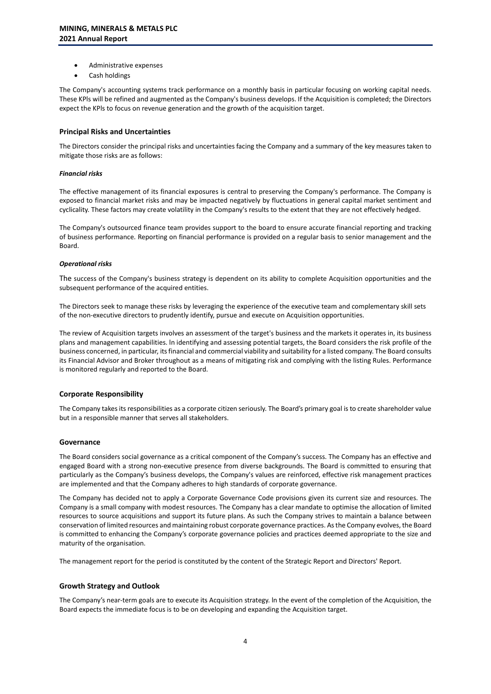- Administrative expenses
- Cash holdings

The Company's accounting systems track performance on a monthly basis in particular focusing on working capital needs. These KPls will be refined and augmented as the Company's business develops. If the Acquisition is completed; the Directors expect the KPls to focus on revenue generation and the growth of the acquisition target.

#### **Principal Risks and Uncertainties**

The Directors consider the principal risks and uncertainties facing the Company and a summary of the key measures taken to mitigate those risks are as follows:

#### *Financial risks*

The effective management of its financial exposures is central to preserving the Company's performance. The Company is exposed to financial market risks and may be impacted negatively by fluctuations in general capital market sentiment and cyclicality. These factors may create volatility in the Company's results to the extent that they are not effectively hedged.

The Company's outsourced finance team provides support to the board to ensure accurate financial reporting and tracking of business performance. Reporting on financial performance is provided on a regular basis to senior management and the Board.

#### *Operational risks*

The success of the Company's business strategy is dependent on its ability to complete Acquisition opportunities and the subsequent performance of the acquired entities.

The Directors seek to manage these risks by leveraging the experience of the executive team and complementary skill sets of the non-executive directors to prudently identify, pursue and execute on Acquisition opportunities.

The review of Acquisition targets involves an assessment of the target's business and the markets it operates in, its business plans and management capabilities. ln identifying and assessing potential targets, the Board considers the risk profile of the business concerned, in particular, its financial and commercial viability and suitability for a listed company. The Board consults its Financial Advisor and Broker throughout as a means of mitigating risk and complying with the listing Rules. Performance is monitored regularly and reported to the Board.

# **Corporate Responsibility**

The Company takes its responsibilities as a corporate citizen seriously. The Board's primary goal is to create shareholder value but in a responsible manner that serves all stakeholders.

# **Governance**

The Board considers social governance as a critical component of the Company's success. The Company has an effective and engaged Board with a strong non-executive presence from diverse backgrounds. The Board is committed to ensuring that particularly as the Company's business develops, the Company's values are reinforced, effective risk management practices are implemented and that the Company adheres to high standards of corporate governance.

The Company has decided not to apply a Corporate Governance Code provisions given its current size and resources. The Company is a small company with modest resources. The Company has a clear mandate to optimise the allocation of limited resources to source acquisitions and support its future plans. As such the Company strives to maintain a balance between conservation of limited resources and maintaining robust corporate governance practices. As the Company evolves, the Board is committed to enhancing the Company's corporate governance policies and practices deemed appropriate to the size and maturity of the organisation.

The management report for the period is constituted by the content of the Strategic Report and Directors' Report.

# **Growth Strategy and Outlook**

The Company's near-term goals are to execute its Acquisition strategy. ln the event of the completion of the Acquisition, the Board expects the immediate focus is to be on developing and expanding the Acquisition target.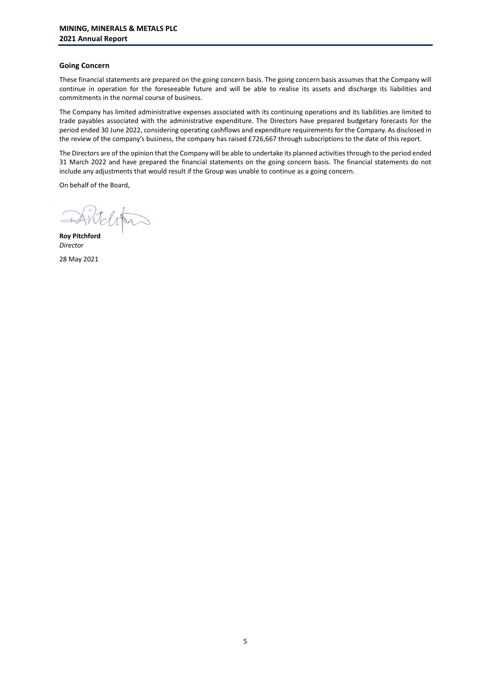# **Going Concern**

These financial statements are prepared on the going concern basis. The going concern basis assumes that the Company will continue in operation for the foreseeable future and will be able to realise its assets and discharge its liabilities and commitments in the normal course of business.

The Company has limited administrative expenses associated with its continuing operations and its liabilities are limited to trade payables associated with the administrative expenditure. The Directors have prepared budgetary forecasts for the period ended 30 June 2022, considering operating cashflows and expenditure requirements for the Company. As disclosed in the review of the company's business, the company has raised £726,667 through subscriptions to the date of this report.

The Directors are of the opinion that the Company will be able to undertake its planned activities through to the period ended 31 March 2022 and have prepared the financial statements on the going concern basis. The financial statements do not include any adjustments that would result if the Group was unable to continue as a going concern.

On behalf of the Board,

telitis

**Roy Pitchford** *Director*

28 May 2021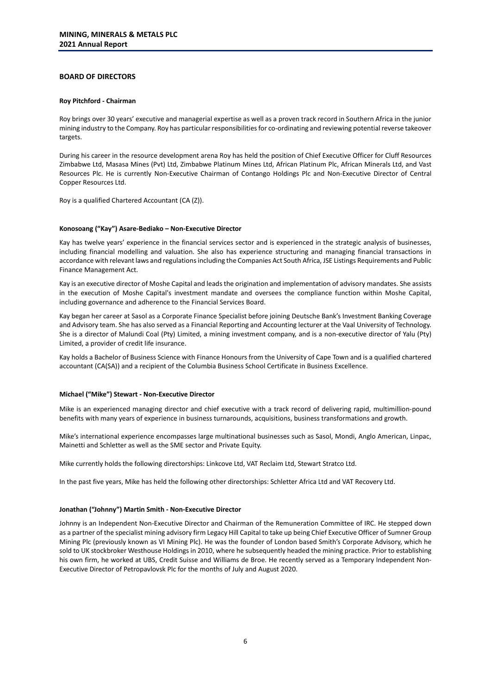# **BOARD OF DIRECTORS**

#### **Roy Pitchford - Chairman**

Roy brings over 30 years' executive and managerial expertise as well as a proven track record in Southern Africa in the junior mining industry to the Company. Roy has particular responsibilities for co-ordinating and reviewing potential reverse takeover targets.

During his career in the resource development arena Roy has held the position of Chief Executive Officer for Cluff Resources Zimbabwe Ltd, Masasa Mines (Pvt) Ltd, Zimbabwe Platinum Mines Ltd, African Platinum Plc, African Minerals Ltd, and Vast Resources Plc. He is currently Non-Executive Chairman of Contango Holdings Plc and Non-Executive Director of Central Copper Resources Ltd.

Roy is a qualified Chartered Accountant (CA (Z)).

#### **Konosoang ("Kay") Asare-Bediako – Non-Executive Director**

Kay has twelve years' experience in the financial services sector and is experienced in the strategic analysis of businesses, including financial modelling and valuation. She also has experience structuring and managing financial transactions in accordance with relevant laws and regulations including the Companies Act South Africa, JSE Listings Requirements and Public Finance Management Act.

Kay is an executive director of Moshe Capital and leads the origination and implementation of advisory mandates. She assists in the execution of Moshe Capital's investment mandate and oversees the compliance function within Moshe Capital, including governance and adherence to the Financial Services Board.

Kay began her career at Sasol as a Corporate Finance Specialist before joining Deutsche Bank's Investment Banking Coverage and Advisory team. She has also served as a Financial Reporting and Accounting lecturer at the Vaal University of Technology. She is a director of Malundi Coal (Pty) Limited, a mining investment company, and is a non-executive director of Yalu (Pty) Limited, a provider of credit life insurance.

Kay holds a Bachelor of Business Science with Finance Honours from the University of Cape Town and is a qualified chartered accountant (CA(SA)) and a recipient of the Columbia Business School Certificate in Business Excellence.

#### **Michael ("Mike") Stewart - Non-Executive Director**

Mike is an experienced managing director and chief executive with a track record of delivering rapid, multimillion-pound benefits with many years of experience in business turnarounds, acquisitions, business transformations and growth.

Mike's international experience encompasses large multinational businesses such as Sasol, Mondi, Anglo American, Linpac, Mainetti and Schletter as well as the SME sector and Private Equity.

Mike currently holds the following directorships: Linkcove Ltd, VAT Reclaim Ltd, Stewart Stratco Ltd.

In the past five years, Mike has held the following other directorships: Schletter Africa Ltd and VAT Recovery Ltd.

#### **Jonathan ("Johnny") Martin Smith - Non-Executive Director**

Johnny is an Independent Non-Executive Director and Chairman of the Remuneration Committee of IRC. He stepped down as a partner of the specialist mining advisory firm Legacy Hill Capital to take up being Chief Executive Officer of Sumner Group Mining Plc (previously known as VI Mining Plc). He was the founder of London based Smith's Corporate Advisory, which he sold to UK stockbroker Westhouse Holdings in 2010, where he subsequently headed the mining practice. Prior to establishing his own firm, he worked at UBS, Credit Suisse and Williams de Broe. He recently served as a Temporary Independent Non-Executive Director of Petropavlovsk Plc for the months of July and August 2020.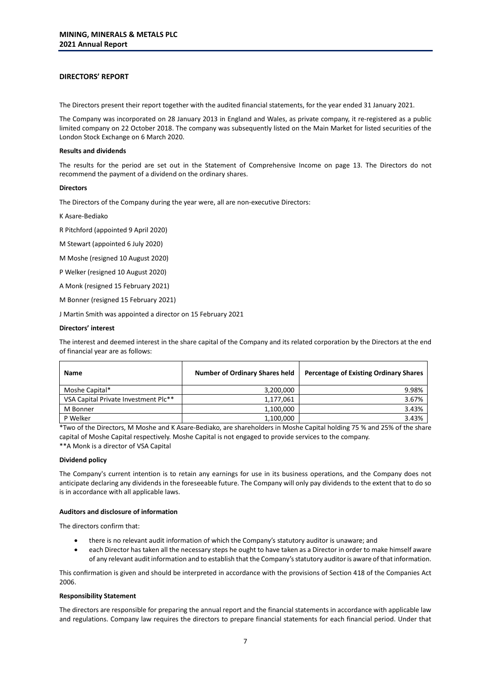# **DIRECTORS' REPORT**

The Directors present their report together with the audited financial statements, for the year ended 31 January 2021.

The Company was incorporated on 28 January 2013 in England and Wales, as private company, it re-registered as a public limited company on 22 October 2018. The company was subsequently listed on the Main Market for listed securities of the London Stock Exchange on 6 March 2020.

#### **Results and dividends**

The results for the period are set out in the Statement of Comprehensive Income on page 13. The Directors do not recommend the payment of a dividend on the ordinary shares.

#### **Directors**

The Directors of the Company during the year were, all are non-executive Directors:

K Asare-Bediako

R Pitchford (appointed 9 April 2020)

M Stewart (appointed 6 July 2020)

M Moshe (resigned 10 August 2020)

P Welker (resigned 10 August 2020)

A Monk (resigned 15 February 2021)

M Bonner (resigned 15 February 2021)

J Martin Smith was appointed a director on 15 February 2021

#### **Directors' interest**

The interest and deemed interest in the share capital of the Company and its related corporation by the Directors at the end of financial year are as follows:

| Name                                 | <b>Number of Ordinary Shares held</b> | <b>Percentage of Existing Ordinary Shares</b> |
|--------------------------------------|---------------------------------------|-----------------------------------------------|
| Moshe Capital*                       | 3,200,000                             | 9.98%                                         |
| VSA Capital Private Investment Plc** | 1,177,061                             | 3.67%                                         |
| M Bonner                             | 1,100,000                             | 3.43%                                         |
| P Welker                             | 1,100,000                             | 3.43%                                         |

\*Two of the Directors, M Moshe and K Asare-Bediako, are shareholders in Moshe Capital holding 75 % and 25% of the share capital of Moshe Capital respectively. Moshe Capital is not engaged to provide services to the company. \*\*A Monk is a director of VSA Capital

#### **Dividend policy**

The Company's current intention is to retain any earnings for use in its business operations, and the Company does not anticipate declaring any dividends in the foreseeable future. The Company will only pay dividends to the extent that to do so is in accordance with all applicable laws.

#### **Auditors and disclosure of information**

The directors confirm that:

- there is no relevant audit information of which the Company's statutory auditor is unaware; and
- each Director has taken all the necessary steps he ought to have taken as a Director in order to make himself aware of any relevant audit information and to establish that the Company's statutory auditor is aware of that information.

This confirmation is given and should be interpreted in accordance with the provisions of Section 418 of the Companies Act 2006.

#### **Responsibility Statement**

The directors are responsible for preparing the annual report and the financial statements in accordance with applicable law and regulations. Company law requires the directors to prepare financial statements for each financial period. Under that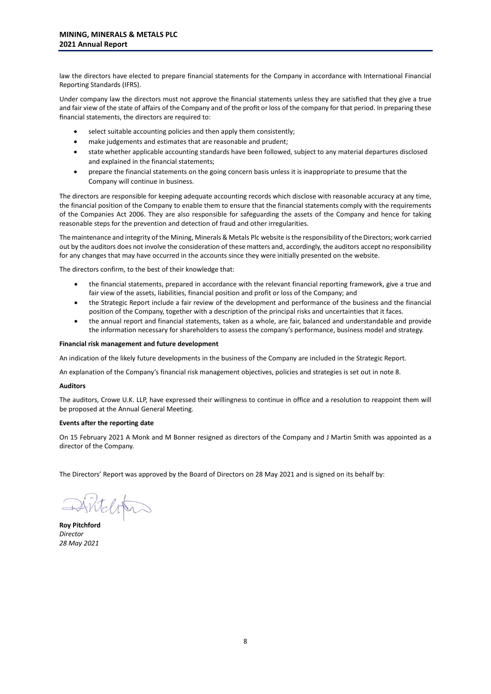law the directors have elected to prepare financial statements for the Company in accordance with International Financial Reporting Standards (IFRS).

Under company law the directors must not approve the financial statements unless they are satisfied that they give a true and fair view of the state of affairs of the Company and of the profit or loss of the company for that period. In preparing these financial statements, the directors are required to:

- select suitable accounting policies and then apply them consistently;
- make judgements and estimates that are reasonable and prudent;
- state whether applicable accounting standards have been followed, subject to any material departures disclosed and explained in the financial statements;
- prepare the financial statements on the going concern basis unless it is inappropriate to presume that the Company will continue in business.

The directors are responsible for keeping adequate accounting records which disclose with reasonable accuracy at any time, the financial position of the Company to enable them to ensure that the financial statements comply with the requirements of the Companies Act 2006. They are also responsible for safeguarding the assets of the Company and hence for taking reasonable steps for the prevention and detection of fraud and other irregularities.

The maintenance and integrity of the Mining, Minerals & Metals Plc website is the responsibility of the Directors; work carried out by the auditors does not involve the consideration of these matters and, accordingly, the auditors accept no responsibility for any changes that may have occurred in the accounts since they were initially presented on the website.

The directors confirm, to the best of their knowledge that:

- the financial statements, prepared in accordance with the relevant financial reporting framework, give a true and fair view of the assets, liabilities, financial position and profit or loss of the Company; and
- the Strategic Report include a fair review of the development and performance of the business and the financial position of the Company, together with a description of the principal risks and uncertainties that it faces.
- the annual report and financial statements, taken as a whole, are fair, balanced and understandable and provide the information necessary for shareholders to assess the company's performance, business model and strategy.

### **Financial risk management and future development**

An indication of the likely future developments in the business of the Company are included in the Strategic Report.

An explanation of the Company's financial risk management objectives, policies and strategies is set out in note 8.

#### **Auditors**

The auditors, Crowe U.K. LLP, have expressed their willingness to continue in office and a resolution to reappoint them will be proposed at the Annual General Meeting.

#### **Events after the reporting date**

On 15 February 2021 A Monk and M Bonner resigned as directors of the Company and J Martin Smith was appointed as a director of the Company.

The Directors' Report was approved by the Board of Directors on 28 May 2021 and is signed on its behalf by:

Antelifin

**Roy Pitchford** *Director 28 May 2021*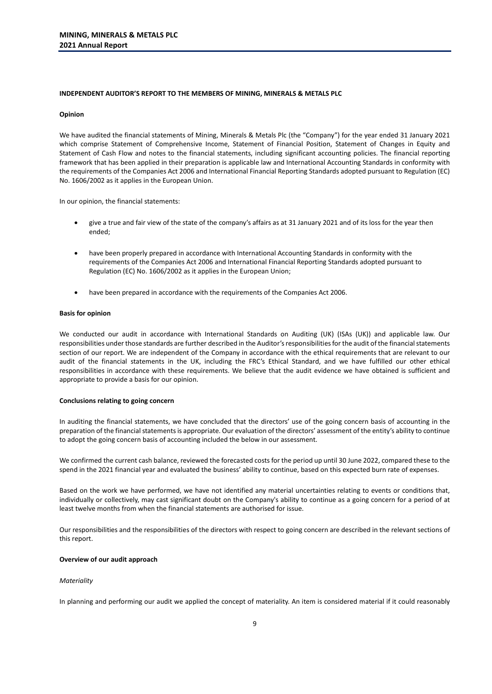#### **INDEPENDENT AUDITOR'S REPORT TO THE MEMBERS OF MINING, MINERALS & METALS PLC**

#### **Opinion**

We have audited the financial statements of Mining, Minerals & Metals Plc (the "Company") for the year ended 31 January 2021 which comprise Statement of Comprehensive Income, Statement of Financial Position, Statement of Changes in Equity and Statement of Cash Flow and notes to the financial statements, including significant accounting policies. The financial reporting framework that has been applied in their preparation is applicable law and International Accounting Standards in conformity with the requirements of the Companies Act 2006 and International Financial Reporting Standards adopted pursuant to Regulation (EC) No. 1606/2002 as it applies in the European Union.

In our opinion, the financial statements:

- give a true and fair view of the state of the company's affairs as at 31 January 2021 and of its loss for the year then ended;
- have been properly prepared in accordance with International Accounting Standards in conformity with the requirements of the Companies Act 2006 and International Financial Reporting Standards adopted pursuant to Regulation (EC) No. 1606/2002 as it applies in the European Union;
- have been prepared in accordance with the requirements of the Companies Act 2006.

#### **Basis for opinion**

We conducted our audit in accordance with International Standards on Auditing (UK) (ISAs (UK)) and applicable law. Our responsibilities under those standards are further described in the Auditor's responsibilities for the audit of the financial statements section of our report. We are independent of the Company in accordance with the ethical requirements that are relevant to our audit of the financial statements in the UK, including the FRC's Ethical Standard, and we have fulfilled our other ethical responsibilities in accordance with these requirements. We believe that the audit evidence we have obtained is sufficient and appropriate to provide a basis for our opinion.

# **Conclusions relating to going concern**

In auditing the financial statements, we have concluded that the directors' use of the going concern basis of accounting in the preparation of the financial statements is appropriate. Our evaluation of the directors' assessment of the entity's ability to continue to adopt the going concern basis of accounting included the below in our assessment.

We confirmed the current cash balance, reviewed the forecasted costs for the period up until 30 June 2022, compared these to the spend in the 2021 financial year and evaluated the business' ability to continue, based on this expected burn rate of expenses.

Based on the work we have performed, we have not identified any material uncertainties relating to events or conditions that, individually or collectively, may cast significant doubt on the Company's ability to continue as a going concern for a period of at least twelve months from when the financial statements are authorised for issue.

Our responsibilities and the responsibilities of the directors with respect to going concern are described in the relevant sections of this report.

#### **Overview of our audit approach**

#### *Materiality*

In planning and performing our audit we applied the concept of materiality. An item is considered material if it could reasonably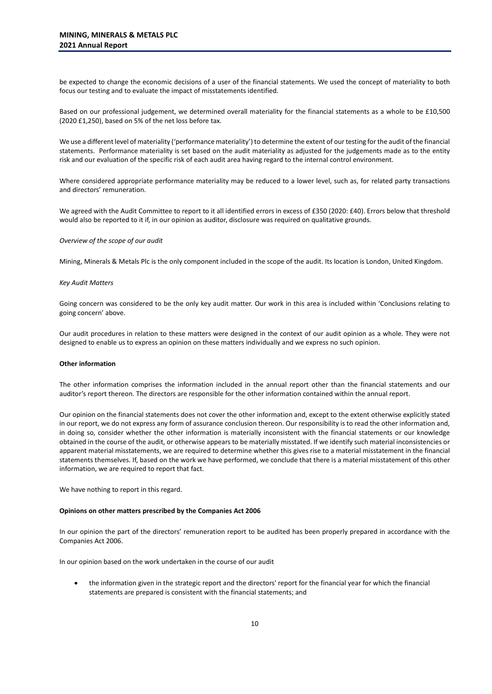be expected to change the economic decisions of a user of the financial statements. We used the concept of materiality to both focus our testing and to evaluate the impact of misstatements identified.

Based on our professional judgement, we determined overall materiality for the financial statements as a whole to be £10,500 (2020 £1,250), based on 5% of the net loss before tax.

We use a different level of materiality ('performance materiality') to determine the extent of our testing for the audit of the financial statements. Performance materiality is set based on the audit materiality as adjusted for the judgements made as to the entity risk and our evaluation of the specific risk of each audit area having regard to the internal control environment.

Where considered appropriate performance materiality may be reduced to a lower level, such as, for related party transactions and directors' remuneration.

We agreed with the Audit Committee to report to it all identified errors in excess of £350 (2020: £40). Errors below that threshold would also be reported to it if, in our opinion as auditor, disclosure was required on qualitative grounds.

#### *Overview of the scope of our audit*

Mining, Minerals & Metals Plc is the only component included in the scope of the audit. Its location is London, United Kingdom.

#### *Key Audit Matters*

Going concern was considered to be the only key audit matter. Our work in this area is included within 'Conclusions relating to going concern' above.

Our audit procedures in relation to these matters were designed in the context of our audit opinion as a whole. They were not designed to enable us to express an opinion on these matters individually and we express no such opinion.

#### **Other information**

The other information comprises the information included in the annual report other than the financial statements and our auditor's report thereon. The directors are responsible for the other information contained within the annual report.

Our opinion on the financial statements does not cover the other information and, except to the extent otherwise explicitly stated in our report, we do not express any form of assurance conclusion thereon. Our responsibility is to read the other information and, in doing so, consider whether the other information is materially inconsistent with the financial statements or our knowledge obtained in the course of the audit, or otherwise appears to be materially misstated. If we identify such material inconsistencies or apparent material misstatements, we are required to determine whether this gives rise to a material misstatement in the financial statements themselves. If, based on the work we have performed, we conclude that there is a material misstatement of this other information, we are required to report that fact.

We have nothing to report in this regard.

#### **Opinions on other matters prescribed by the Companies Act 2006**

In our opinion the part of the directors' remuneration report to be audited has been properly prepared in accordance with the Companies Act 2006.

In our opinion based on the work undertaken in the course of our audit

• the information given in the strategic report and the directors' report for the financial year for which the financial statements are prepared is consistent with the financial statements; and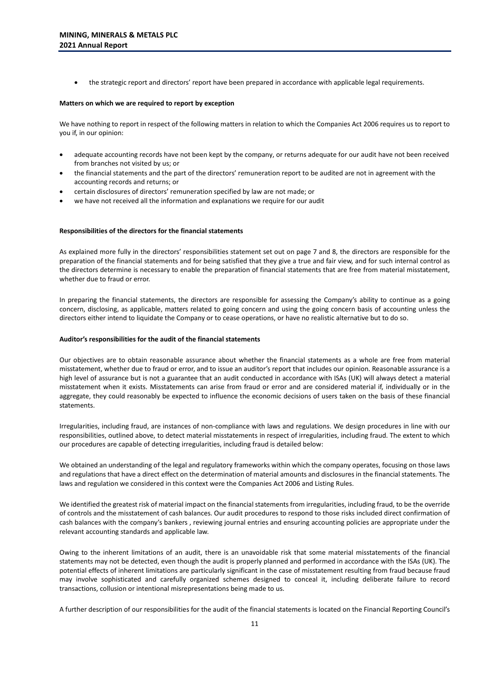• the strategic report and directors' report have been prepared in accordance with applicable legal requirements.

#### **Matters on which we are required to report by exception**

We have nothing to report in respect of the following matters in relation to which the Companies Act 2006 requires us to report to you if, in our opinion:

- adequate accounting records have not been kept by the company, or returns adequate for our audit have not been received from branches not visited by us; or
- the financial statements and the part of the directors' remuneration report to be audited are not in agreement with the accounting records and returns; or
- certain disclosures of directors' remuneration specified by law are not made; or
- we have not received all the information and explanations we require for our audit

#### **Responsibilities of the directors for the financial statements**

As explained more fully in the directors' responsibilities statement set out on page 7 and 8, the directors are responsible for the preparation of the financial statements and for being satisfied that they give a true and fair view, and for such internal control as the directors determine is necessary to enable the preparation of financial statements that are free from material misstatement, whether due to fraud or error.

In preparing the financial statements, the directors are responsible for assessing the Company's ability to continue as a going concern, disclosing, as applicable, matters related to going concern and using the going concern basis of accounting unless the directors either intend to liquidate the Company or to cease operations, or have no realistic alternative but to do so.

#### **Auditor's responsibilities for the audit of the financial statements**

Our objectives are to obtain reasonable assurance about whether the financial statements as a whole are free from material misstatement, whether due to fraud or error, and to issue an auditor's report that includes our opinion. Reasonable assurance is a high level of assurance but is not a guarantee that an audit conducted in accordance with ISAs (UK) will always detect a material misstatement when it exists. Misstatements can arise from fraud or error and are considered material if, individually or in the aggregate, they could reasonably be expected to influence the economic decisions of users taken on the basis of these financial statements.

Irregularities, including fraud, are instances of non-compliance with laws and regulations. We design procedures in line with our responsibilities, outlined above, to detect material misstatements in respect of irregularities, including fraud. The extent to which our procedures are capable of detecting irregularities, including fraud is detailed below:

We obtained an understanding of the legal and regulatory frameworks within which the company operates, focusing on those laws and regulations that have a direct effect on the determination of material amounts and disclosures in the financial statements. The laws and regulation we considered in this context were the Companies Act 2006 and Listing Rules.

We identified the greatest risk of material impact on the financial statements from irregularities, including fraud, to be the override of controls and the misstatement of cash balances. Our audit procedures to respond to those risks included direct confirmation of cash balances with the company's bankers , reviewing journal entries and ensuring accounting policies are appropriate under the relevant accounting standards and applicable law.

Owing to the inherent limitations of an audit, there is an unavoidable risk that some material misstatements of the financial statements may not be detected, even though the audit is properly planned and performed in accordance with the ISAs (UK). The potential effects of inherent limitations are particularly significant in the case of misstatement resulting from fraud because fraud may involve sophisticated and carefully organized schemes designed to conceal it, including deliberate failure to record transactions, collusion or intentional misrepresentations being made to us.

A further description of our responsibilities for the audit of the financial statements is located on the Financial Reporting Council's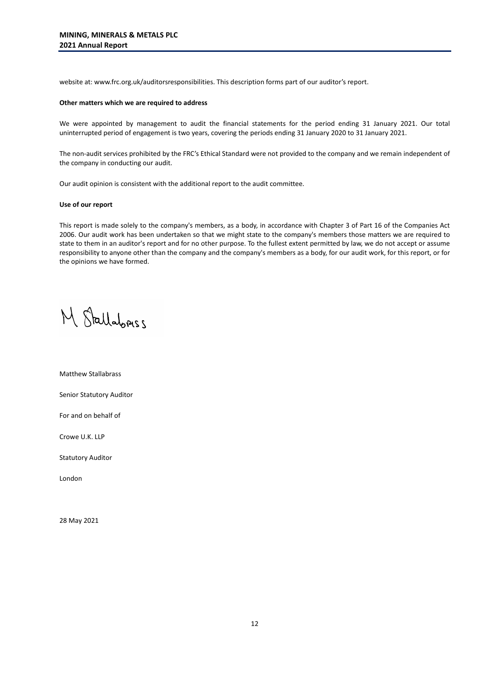website at: www.frc.org.uk/auditorsresponsibilities. This description forms part of our auditor's report.

#### **Other matters which we are required to address**

We were appointed by management to audit the financial statements for the period ending 31 January 2021. Our total uninterrupted period of engagement is two years, covering the periods ending 31 January 2020 to 31 January 2021.

The non-audit services prohibited by the FRC's Ethical Standard were not provided to the company and we remain independent of the company in conducting our audit.

Our audit opinion is consistent with the additional report to the audit committee.

#### **Use of our report**

This report is made solely to the company's members, as a body, in accordance with Chapter 3 of Part 16 of the Companies Act 2006. Our audit work has been undertaken so that we might state to the company's members those matters we are required to state to them in an auditor's report and for no other purpose. To the fullest extent permitted by law, we do not accept or assume responsibility to anyone other than the company and the company's members as a body, for our audit work, for this report, or for the opinions we have formed.

M Stallabriss

Matthew Stallabrass

Senior Statutory Auditor

For and on behalf of

Crowe U.K. LLP

Statutory Auditor

London

28 May 2021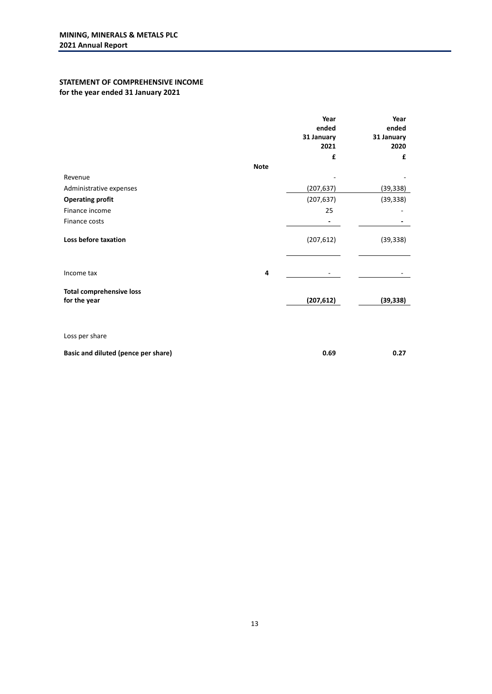# **STATEMENT OF COMPREHENSIVE INCOME for the year ended 31 January 2021**

|                                     |             | Year<br>ended<br>31 January<br>2021 | Year<br>ended<br>31 January<br>2020 |
|-------------------------------------|-------------|-------------------------------------|-------------------------------------|
|                                     |             | £                                   | £                                   |
|                                     | <b>Note</b> |                                     |                                     |
| Revenue                             |             |                                     |                                     |
| Administrative expenses             |             | (207, 637)                          | (39, 338)                           |
| <b>Operating profit</b>             |             | (207, 637)                          | (39, 338)                           |
| Finance income                      |             | 25                                  |                                     |
| Finance costs                       |             |                                     |                                     |
| Loss before taxation                |             | (207, 612)                          | (39, 338)                           |
| Income tax                          | 4           |                                     |                                     |
| <b>Total comprehensive loss</b>     |             |                                     |                                     |
| for the year                        |             | (207, 612)                          | (39, 338)                           |
|                                     |             |                                     |                                     |
| Loss per share                      |             |                                     |                                     |
| Basic and diluted (pence per share) |             | 0.69                                | 0.27                                |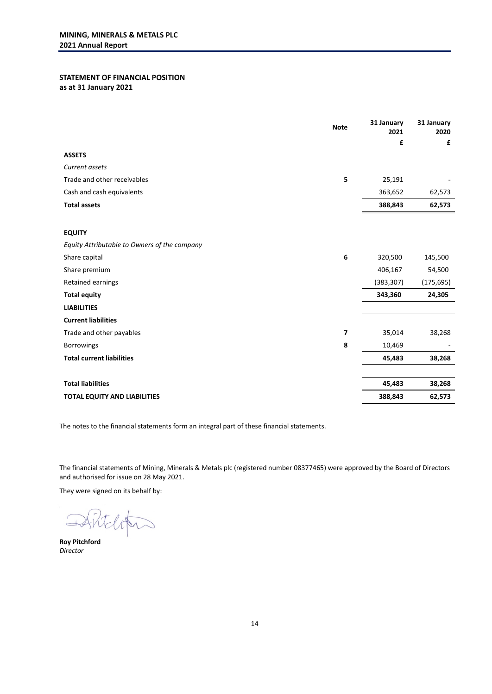# **STATEMENT OF FINANCIAL POSITION as at 31 January 2021**

|                                              | <b>Note</b> | 31 January<br>2021 | 31 January<br>2020 |
|----------------------------------------------|-------------|--------------------|--------------------|
|                                              |             | £                  | £                  |
| <b>ASSETS</b>                                |             |                    |                    |
| Current assets                               |             |                    |                    |
| Trade and other receivables                  | 5           | 25,191             |                    |
| Cash and cash equivalents                    |             | 363,652            | 62,573             |
| <b>Total assets</b>                          |             | 388,843            | 62,573             |
| <b>EQUITY</b>                                |             |                    |                    |
| Equity Attributable to Owners of the company |             |                    |                    |
| Share capital                                | 6           | 320,500            | 145,500            |
| Share premium                                |             | 406,167            | 54,500             |
| Retained earnings                            |             | (383, 307)         | (175, 695)         |
| <b>Total equity</b>                          |             | 343,360            | 24,305             |
| <b>LIABILITIES</b>                           |             |                    |                    |
| <b>Current liabilities</b>                   |             |                    |                    |
| Trade and other payables                     | 7           | 35,014             | 38,268             |
| Borrowings                                   | 8           | 10,469             |                    |
| <b>Total current liabilities</b>             |             | 45,483             | 38,268             |
|                                              |             |                    |                    |
| <b>Total liabilities</b>                     |             | 45,483             | 38,268             |
| <b>TOTAL EQUITY AND LIABILITIES</b>          |             | 388,843            | 62,573             |

The notes to the financial statements form an integral part of these financial statements.

The financial statements of Mining, Minerals & Metals plc (registered number 08377465) were approved by the Board of Directors and authorised for issue on 28 May 2021.

They were signed on its behalf by:

Roy Pitchford

*Director*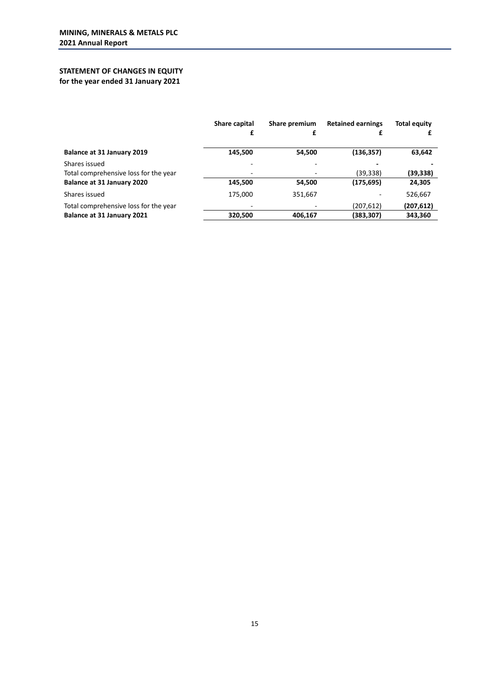# **STATEMENT OF CHANGES IN EQUITY for the year ended 31 January 2021**

|                                       | Share capital<br>£ | Share premium<br>£ | <b>Retained earnings</b> | <b>Total equity</b> |
|---------------------------------------|--------------------|--------------------|--------------------------|---------------------|
| Balance at 31 January 2019            | 145,500            | 54,500             | (136, 357)               | 63,642              |
| Shares issued                         |                    | -                  |                          |                     |
| Total comprehensive loss for the year |                    | ٠                  | (39, 338)                | (39,338)            |
| Balance at 31 January 2020            | 145,500            | 54,500             | (175, 695)               | 24,305              |
| Shares issued                         | 175.000            | 351,667            |                          | 526,667             |
| Total comprehensive loss for the year |                    |                    | (207, 612)               | (207, 612)          |
| Balance at 31 January 2021            | 320,500            | 406,167            | (383,307)                | 343,360             |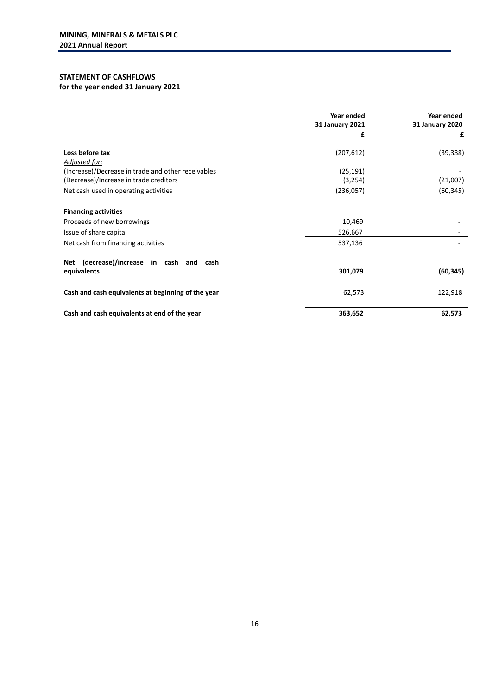# **STATEMENT OF CASHFLOWS**

# **for the year ended 31 January 2021**

|                                                    | Year ended<br>31 January 2021 | Year ended<br>31 January 2020 |
|----------------------------------------------------|-------------------------------|-------------------------------|
|                                                    | £                             | £                             |
| Loss before tax<br>Adjusted for:                   | (207, 612)                    | (39, 338)                     |
| (Increase)/Decrease in trade and other receivables | (25, 191)                     |                               |
| (Decrease)/Increase in trade creditors             | (3,254)                       | (21,007)                      |
| Net cash used in operating activities              | (236, 057)                    | (60, 345)                     |
| <b>Financing activities</b>                        |                               |                               |
| Proceeds of new borrowings                         | 10,469                        |                               |
| Issue of share capital                             | 526,667                       |                               |
| Net cash from financing activities                 | 537,136                       |                               |
| (decrease)/increase in cash and cash<br>Net        |                               |                               |
| equivalents                                        | 301,079                       | (60, 345)                     |
| Cash and cash equivalents at beginning of the year | 62,573                        | 122,918                       |
| Cash and cash equivalents at end of the year       | 363,652                       | 62,573                        |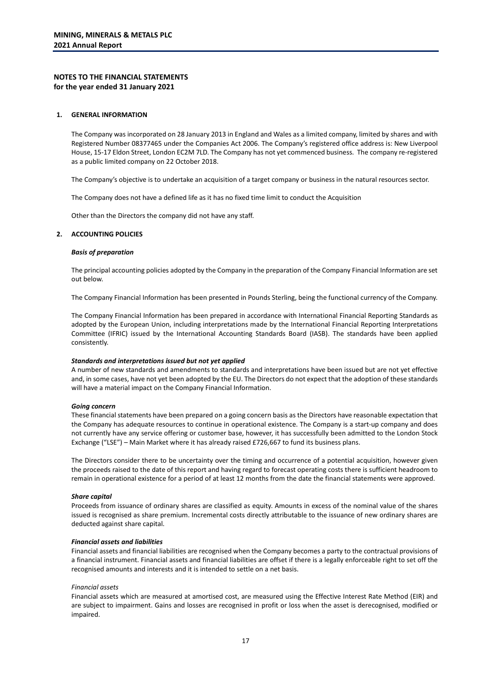# **NOTES TO THE FINANCIAL STATEMENTS for the year ended 31 January 2021**

#### **1. GENERAL INFORMATION**

The Company was incorporated on 28 January 2013 in England and Wales as a limited company, limited by shares and with Registered Number 08377465 under the Companies Act 2006. The Company's registered office address is: New Liverpool House, 15-17 Eldon Street, London EC2M 7LD. The Company has not yet commenced business. The company re-registered as a public limited company on 22 October 2018.

The Company's objective is to undertake an acquisition of a target company or business in the natural resources sector.

The Company does not have a defined life as it has no fixed time limit to conduct the Acquisition

Other than the Directors the company did not have any staff.

### **2. ACCOUNTING POLICIES**

#### *Basis of preparation*

The principal accounting policies adopted by the Company in the preparation of the Company Financial Information are set out below.

The Company Financial Information has been presented in Pounds Sterling, being the functional currency of the Company.

The Company Financial Information has been prepared in accordance with International Financial Reporting Standards as adopted by the European Union, including interpretations made by the International Financial Reporting Interpretations Committee (IFRIC) issued by the International Accounting Standards Board (IASB). The standards have been applied consistently.

#### *Standards and interpretations issued but not yet applied*

A number of new standards and amendments to standards and interpretations have been issued but are not yet effective and, in some cases, have not yet been adopted by the EU. The Directors do not expect that the adoption of these standards will have a material impact on the Company Financial Information.

#### *Going concern*

These financial statements have been prepared on a going concern basis as the Directors have reasonable expectation that the Company has adequate resources to continue in operational existence. The Company is a start-up company and does not currently have any service offering or customer base, however, it has successfully been admitted to the London Stock Exchange ("LSE") – Main Market where it has already raised £726,667 to fund its business plans.

The Directors consider there to be uncertainty over the timing and occurrence of a potential acquisition, however given the proceeds raised to the date of this report and having regard to forecast operating costs there is sufficient headroom to remain in operational existence for a period of at least 12 months from the date the financial statements were approved.

#### *Share capital*

Proceeds from issuance of ordinary shares are classified as equity. Amounts in excess of the nominal value of the shares issued is recognised as share premium. Incremental costs directly attributable to the issuance of new ordinary shares are deducted against share capital.

#### *Financial assets and liabilities*

Financial assets and financial liabilities are recognised when the Company becomes a party to the contractual provisions of a financial instrument. Financial assets and financial liabilities are offset if there is a legally enforceable right to set off the recognised amounts and interests and it is intended to settle on a net basis.

#### *Financial assets*

Financial assets which are measured at amortised cost, are measured using the Effective Interest Rate Method (EIR) and are subject to impairment. Gains and losses are recognised in profit or loss when the asset is derecognised, modified or impaired.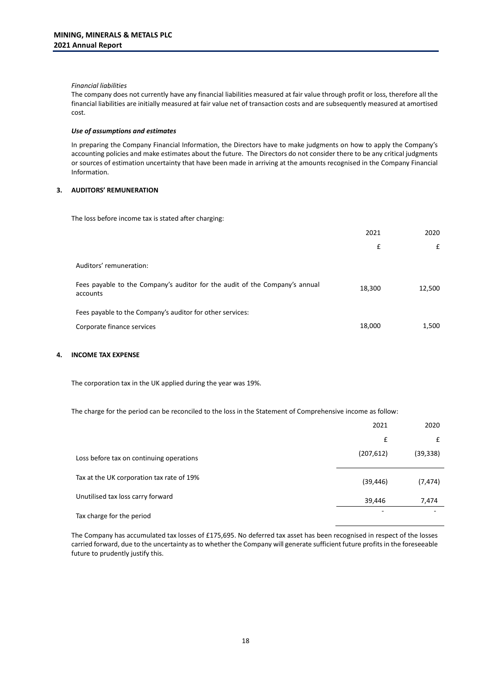#### *Financial liabilities*

The company does not currently have any financial liabilities measured at fair value through profit or loss, therefore all the financial liabilities are initially measured at fair value net of transaction costs and are subsequently measured at amortised cost.

#### *Use of assumptions and estimates*

In preparing the Company Financial Information, the Directors have to make judgments on how to apply the Company's accounting policies and make estimates about the future. The Directors do not consider there to be any critical judgments or sources of estimation uncertainty that have been made in arriving at the amounts recognised in the Company Financial Information.

# **3. AUDITORS' REMUNERATION**

The loss before income tax is stated after charging:

|                                                                                         | 2021   | 2020   |
|-----------------------------------------------------------------------------------------|--------|--------|
|                                                                                         | £      | £      |
| Auditors' remuneration:                                                                 |        |        |
| Fees payable to the Company's auditor for the audit of the Company's annual<br>accounts | 18,300 | 12,500 |
| Fees payable to the Company's auditor for other services:                               |        |        |
| Corporate finance services                                                              | 18,000 | 1,500  |
|                                                                                         |        |        |

#### **4. INCOME TAX EXPENSE**

The corporation tax in the UK applied during the year was 19%.

The charge for the period can be reconciled to the loss in the Statement of Comprehensive income as follow:

|                                           | 2021       | 2020      |
|-------------------------------------------|------------|-----------|
|                                           | £          | £         |
| Loss before tax on continuing operations  | (207, 612) | (39, 338) |
| Tax at the UK corporation tax rate of 19% | (39, 446)  | (7, 474)  |
| Unutilised tax loss carry forward         | 39,446     | 7,474     |
| Tax charge for the period                 |            |           |

The Company has accumulated tax losses of £175,695. No deferred tax asset has been recognised in respect of the losses carried forward, due to the uncertainty as to whether the Company will generate sufficient future profits in the foreseeable future to prudently justify this.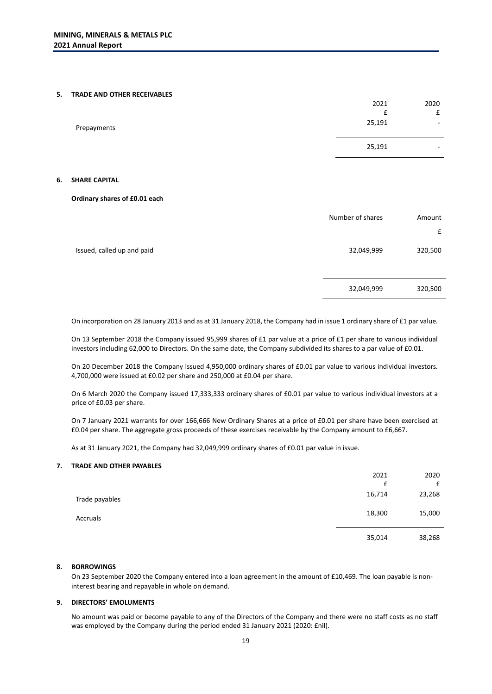#### **5. TRADE AND OTHER RECEIVABLES**

|             | 25,191 | $\overline{\phantom{a}}$ |
|-------------|--------|--------------------------|
| Prepayments | 25,191 | $\sim$                   |
|             |        | £                        |
|             | 2021   | 2020                     |

#### **6. SHARE CAPITAL**

#### **Ordinary shares of £0.01 each**

|                            | Number of shares | Amount  |
|----------------------------|------------------|---------|
|                            |                  | £       |
| Issued, called up and paid | 32,049,999       | 320,500 |
|                            | 32,049,999       | 320,500 |

On incorporation on 28 January 2013 and as at 31 January 2018, the Company had in issue 1 ordinary share of £1 par value.

On 13 September 2018 the Company issued 95,999 shares of £1 par value at a price of £1 per share to various individual investors including 62,000 to Directors. On the same date, the Company subdivided its shares to a par value of £0.01.

On 20 December 2018 the Company issued 4,950,000 ordinary shares of £0.01 par value to various individual investors. 4,700,000 were issued at £0.02 per share and 250,000 at £0.04 per share.

On 6 March 2020 the Company issued 17,333,333 ordinary shares of £0.01 par value to various individual investors at a price of £0.03 per share.

On 7 January 2021 warrants for over 166,666 New Ordinary Shares at a price of £0.01 per share have been exercised at £0.04 per share. The aggregate gross proceeds of these exercises receivable by the Company amount to £6,667.

As at 31 January 2021, the Company had 32,049,999 ordinary shares of £0.01 par value in issue.

# **7. TRADE AND OTHER PAYABLES**

|                | 2021   | 2020   |
|----------------|--------|--------|
|                | £      | £      |
| Trade payables | 16,714 | 23,268 |
| Accruals       | 18,300 | 15,000 |
|                | 35,014 | 38,268 |

# **8. BORROWINGS**

On 23 September 2020 the Company entered into a loan agreement in the amount of £10,469. The loan payable is noninterest bearing and repayable in whole on demand.

# **9. DIRECTORS' EMOLUMENTS**

No amount was paid or become payable to any of the Directors of the Company and there were no staff costs as no staff was employed by the Company during the period ended 31 January 2021 (2020: £nil).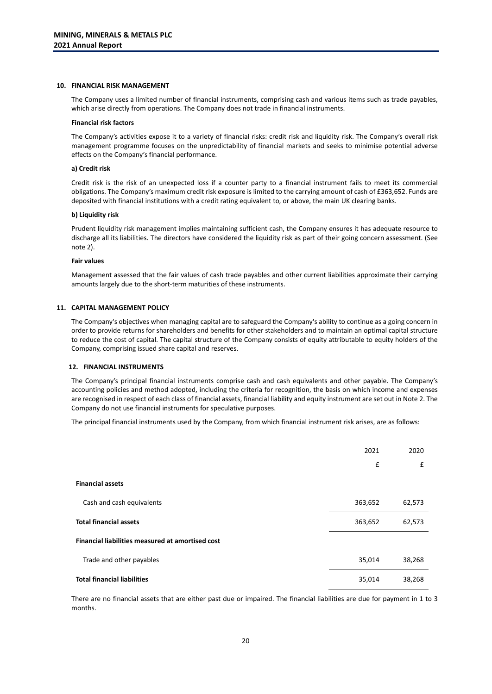#### **10. FINANCIAL RISK MANAGEMENT**

The Company uses a limited number of financial instruments, comprising cash and various items such as trade payables, which arise directly from operations. The Company does not trade in financial instruments.

#### **Financial risk factors**

The Company's activities expose it to a variety of financial risks: credit risk and liquidity risk. The Company's overall risk management programme focuses on the unpredictability of financial markets and seeks to minimise potential adverse effects on the Company's financial performance.

#### **a) Credit risk**

Credit risk is the risk of an unexpected loss if a counter party to a financial instrument fails to meet its commercial obligations. The Company's maximum credit risk exposure is limited to the carrying amount of cash of £363,652. Funds are deposited with financial institutions with a credit rating equivalent to, or above, the main UK clearing banks.

#### **b) Liquidity risk**

Prudent liquidity risk management implies maintaining sufficient cash, the Company ensures it has adequate resource to discharge all its liabilities. The directors have considered the liquidity risk as part of their going concern assessment. (See note 2).

#### **Fair values**

Management assessed that the fair values of cash trade payables and other current liabilities approximate their carrying amounts largely due to the short-term maturities of these instruments.

#### **11. CAPITAL MANAGEMENT POLICY**

The Company's objectives when managing capital are to safeguard the Company's ability to continue as a going concern in order to provide returns for shareholders and benefits for other stakeholders and to maintain an optimal capital structure to reduce the cost of capital. The capital structure of the Company consists of equity attributable to equity holders of the Company, comprising issued share capital and reserves.

#### **12. FINANCIAL INSTRUMENTS**

The Company's principal financial instruments comprise cash and cash equivalents and other payable. The Company's accounting policies and method adopted, including the criteria for recognition, the basis on which income and expenses are recognised in respect of each class of financial assets, financial liability and equity instrument are set out in Note 2. The Company do not use financial instruments for speculative purposes.

The principal financial instruments used by the Company, from which financial instrument risk arises, are as follows:

|                                                  | 2021    | 2020   |
|--------------------------------------------------|---------|--------|
|                                                  | £       | £      |
| <b>Financial assets</b>                          |         |        |
| Cash and cash equivalents                        | 363,652 | 62,573 |
| <b>Total financial assets</b>                    | 363,652 | 62,573 |
| Financial liabilities measured at amortised cost |         |        |
| Trade and other payables                         | 35,014  | 38,268 |
| <b>Total financial liabilities</b>               | 35,014  | 38,268 |

There are no financial assets that are either past due or impaired. The financial liabilities are due for payment in 1 to 3 months.